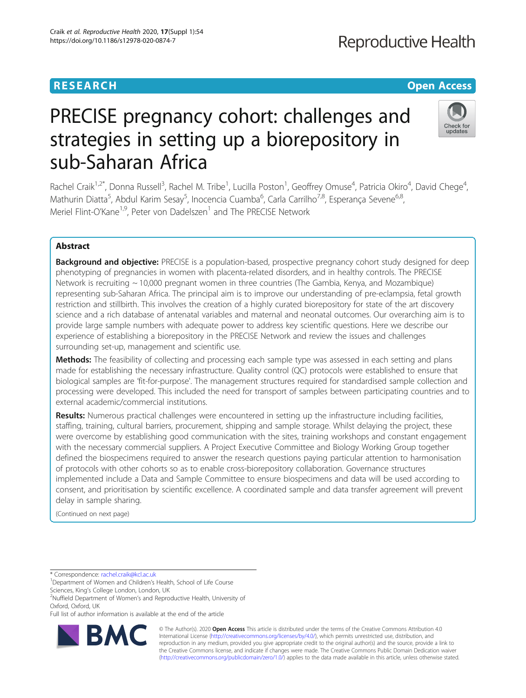# **Reproductive Health**

# **RESEARCH CHE Open Access**

# Check for updates

# PRECISE pregnancy cohort: challenges and strategies in setting up a biorepository in sub-Saharan Africa

Rachel Craik<sup>1,2\*</sup>, Donna Russell<sup>3</sup>, Rachel M. Tribe<sup>1</sup>, Lucilla Poston<sup>1</sup>, Geoffrey Omuse<sup>4</sup>, Patricia Okiro<sup>4</sup>, David Chege<sup>4</sup> , Mathurin Diatta<sup>5</sup>, Abdul Karim Sesay<sup>5</sup>, Inocencia Cuamba<sup>6</sup>, Carla Carrilho<sup>7,8</sup>, Esperança Sevene<sup>6,8</sup>, Meriel Flint-O'Kane<sup>1,9</sup>, Peter von Dadelszen<sup>1</sup> and The PRECISE Network

# Abstract

**Background and objective:** PRECISE is a population-based, prospective pregnancy cohort study designed for deep phenotyping of pregnancies in women with placenta-related disorders, and in healthy controls. The PRECISE Network is recruiting ~ 10,000 pregnant women in three countries (The Gambia, Kenya, and Mozambique) representing sub-Saharan Africa. The principal aim is to improve our understanding of pre-eclampsia, fetal growth restriction and stillbirth. This involves the creation of a highly curated biorepository for state of the art discovery science and a rich database of antenatal variables and maternal and neonatal outcomes. Our overarching aim is to provide large sample numbers with adequate power to address key scientific questions. Here we describe our experience of establishing a biorepository in the PRECISE Network and review the issues and challenges surrounding set-up, management and scientific use.

Methods: The feasibility of collecting and processing each sample type was assessed in each setting and plans made for establishing the necessary infrastructure. Quality control (QC) protocols were established to ensure that biological samples are 'fit-for-purpose'. The management structures required for standardised sample collection and processing were developed. This included the need for transport of samples between participating countries and to external academic/commercial institutions.

Results: Numerous practical challenges were encountered in setting up the infrastructure including facilities, staffing, training, cultural barriers, procurement, shipping and sample storage. Whilst delaying the project, these were overcome by establishing good communication with the sites, training workshops and constant engagement with the necessary commercial suppliers. A Project Executive Committee and Biology Working Group together defined the biospecimens required to answer the research questions paying particular attention to harmonisation of protocols with other cohorts so as to enable cross-biorepository collaboration. Governance structures implemented include a Data and Sample Committee to ensure biospecimens and data will be used according to consent, and prioritisation by scientific excellence. A coordinated sample and data transfer agreement will prevent delay in sample sharing.

(Continued on next page)

\* Correspondence: [rachel.craik@kcl.ac.uk](mailto:rachel.craik@kcl.ac.uk) <sup>1</sup>

<sup>1</sup>Department of Women and Children's Health, School of Life Course

Sciences, King's College London, London, UK <sup>2</sup>

<sup>2</sup>Nuffield Department of Women's and Reproductive Health, University of Oxford, Oxford, UK

Full list of author information is available at the end of the article



© The Author(s). 2020 **Open Access** This article is distributed under the terms of the Creative Commons Attribution 4.0 International License [\(http://creativecommons.org/licenses/by/4.0/](http://creativecommons.org/licenses/by/4.0/)), which permits unrestricted use, distribution, and reproduction in any medium, provided you give appropriate credit to the original author(s) and the source, provide a link to the Creative Commons license, and indicate if changes were made. The Creative Commons Public Domain Dedication waiver [\(http://creativecommons.org/publicdomain/zero/1.0/](http://creativecommons.org/publicdomain/zero/1.0/)) applies to the data made available in this article, unless otherwise stated.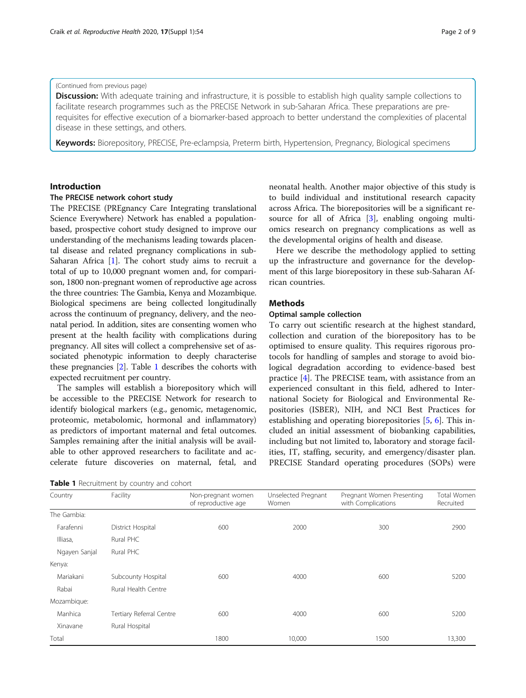### (Continued from previous page)

**Discussion:** With adequate training and infrastructure, it is possible to establish high quality sample collections to facilitate research programmes such as the PRECISE Network in sub-Saharan Africa. These preparations are prerequisites for effective execution of a biomarker-based approach to better understand the complexities of placental disease in these settings, and others.

Keywords: Biorepository, PRECISE, Pre-eclampsia, Preterm birth, Hypertension, Pregnancy, Biological specimens

# Introduction

# The PRECISE network cohort study

The PRECISE (PREgnancy Care Integrating translational Science Everywhere) Network has enabled a populationbased, prospective cohort study designed to improve our understanding of the mechanisms leading towards placental disease and related pregnancy complications in sub-Saharan Africa [[1\]](#page-8-0). The cohort study aims to recruit a total of up to 10,000 pregnant women and, for comparison, 1800 non-pregnant women of reproductive age across the three countries: The Gambia, Kenya and Mozambique. Biological specimens are being collected longitudinally across the continuum of pregnancy, delivery, and the neonatal period. In addition, sites are consenting women who present at the health facility with complications during pregnancy. All sites will collect a comprehensive set of associated phenotypic information to deeply characterise these pregnancies [\[2\]](#page-8-0). Table 1 describes the cohorts with expected recruitment per country.

The samples will establish a biorepository which will be accessible to the PRECISE Network for research to identify biological markers (e.g., genomic, metagenomic, proteomic, metabolomic, hormonal and inflammatory) as predictors of important maternal and fetal outcomes. Samples remaining after the initial analysis will be available to other approved researchers to facilitate and accelerate future discoveries on maternal, fetal, and

Table 1 Recruitment by country and cohort

neonatal health. Another major objective of this study is to build individual and institutional research capacity across Africa. The biorepositories will be a significant resource for all of Africa [[3\]](#page-8-0), enabling ongoing multiomics research on pregnancy complications as well as the developmental origins of health and disease.

Here we describe the methodology applied to setting up the infrastructure and governance for the development of this large biorepository in these sub-Saharan African countries.

# Methods

# Optimal sample collection

To carry out scientific research at the highest standard, collection and curation of the biorepository has to be optimised to ensure quality. This requires rigorous protocols for handling of samples and storage to avoid biological degradation according to evidence-based best practice [\[4](#page-8-0)]. The PRECISE team, with assistance from an experienced consultant in this field, adhered to International Society for Biological and Environmental Repositories (ISBER), NIH, and NCI Best Practices for establishing and operating biorepositories [\[5](#page-8-0), [6](#page-8-0)]. This included an initial assessment of biobanking capabilities, including but not limited to, laboratory and storage facilities, IT, staffing, security, and emergency/disaster plan. PRECISE Standard operating procedures (SOPs) were

| Country       | Facility                 | Non-pregnant women<br>of reproductive age | Unselected Pregnant<br>Women | Pregnant Women Presenting<br>with Complications | <b>Total Women</b><br>Recruited |
|---------------|--------------------------|-------------------------------------------|------------------------------|-------------------------------------------------|---------------------------------|
| The Gambia:   |                          |                                           |                              |                                                 |                                 |
| Farafenni     | District Hospital        | 600                                       | 2000                         | 300                                             | 2900                            |
| Illiasa,      | Rural PHC                |                                           |                              |                                                 |                                 |
| Ngayen Sanjal | Rural PHC                |                                           |                              |                                                 |                                 |
| Kenya:        |                          |                                           |                              |                                                 |                                 |
| Mariakani     | Subcounty Hospital       | 600                                       | 4000                         | 600                                             | 5200                            |
| Rabai         | Rural Health Centre      |                                           |                              |                                                 |                                 |
| Mozambique:   |                          |                                           |                              |                                                 |                                 |
| Manhica       | Tertiary Referral Centre | 600                                       | 4000                         | 600                                             | 5200                            |
| Xinavane      | Rural Hospital           |                                           |                              |                                                 |                                 |
| Total         |                          | 1800                                      | 10,000                       | 1500                                            | 13,300                          |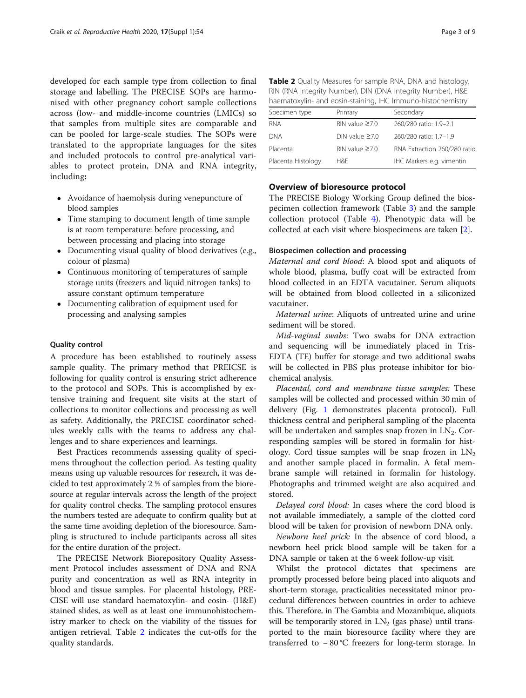developed for each sample type from collection to final storage and labelling. The PRECISE SOPs are harmonised with other pregnancy cohort sample collections across (low- and middle-income countries (LMICs) so that samples from multiple sites are comparable and can be pooled for large-scale studies. The SOPs were translated to the appropriate languages for the sites and included protocols to control pre-analytical variables to protect protein, DNA and RNA integrity, including:

- Avoidance of haemolysis during venepuncture of blood samples
- Time stamping to document length of time sample is at room temperature: before processing, and between processing and placing into storage
- Documenting visual quality of blood derivatives (e.g., colour of plasma)
- Continuous monitoring of temperatures of sample storage units (freezers and liquid nitrogen tanks) to assure constant optimum temperature
- Documenting calibration of equipment used for processing and analysing samples

### Quality control

A procedure has been established to routinely assess sample quality. The primary method that PREICSE is following for quality control is ensuring strict adherence to the protocol and SOPs. This is accomplished by extensive training and frequent site visits at the start of collections to monitor collections and processing as well as safety. Additionally, the PRECISE coordinator schedules weekly calls with the teams to address any challenges and to share experiences and learnings.

Best Practices recommends assessing quality of specimens throughout the collection period. As testing quality means using up valuable resources for research, it was decided to test approximately 2 % of samples from the bioresource at regular intervals across the length of the project for quality control checks. The sampling protocol ensures the numbers tested are adequate to confirm quality but at the same time avoiding depletion of the bioresource. Sampling is structured to include participants across all sites for the entire duration of the project.

The PRECISE Network Biorepository Quality Assessment Protocol includes assessment of DNA and RNA purity and concentration as well as RNA integrity in blood and tissue samples. For placental histology, PRE-CISE will use standard haematoxylin- and eosin- (H&E) stained slides, as well as at least one immunohistochemistry marker to check on the viability of the tissues for antigen retrieval. Table 2 indicates the cut-offs for the quality standards.

| Table 2 Quality Measures for sample RNA, DNA and histology. |
|-------------------------------------------------------------|
| RIN (RNA Integrity Number), DIN (DNA Integrity Number), H&E |
| haematoxylin- and eosin-staining, IHC Immuno-histochemistry |

| Specimen type      | Primary               | Secondary                    |
|--------------------|-----------------------|------------------------------|
| <b>RNA</b>         | RIN value $\geq 7.0$  | 260/280 ratio: 1.9-2.1       |
| dna                | $DN$ value $\geq 7.0$ | 260/280 ratio: 1.7-1.9       |
| Placenta           | $RIN$ value $>70$     | RNA Extraction 260/280 ratio |
| Placenta Histology | H&F                   | IHC Markers e.g. vimentin    |

# Overview of bioresource protocol

The PRECISE Biology Working Group defined the biospecimen collection framework (Table [3](#page-3-0)) and the sample collection protocol (Table [4\)](#page-3-0). Phenotypic data will be collected at each visit where biospecimens are taken [[2\]](#page-8-0).

#### Biospecimen collection and processing

Maternal and cord blood: A blood spot and aliquots of whole blood, plasma, buffy coat will be extracted from blood collected in an EDTA vacutainer. Serum aliquots will be obtained from blood collected in a siliconized vacutainer.

Maternal urine: Aliquots of untreated urine and urine sediment will be stored.

Mid-vaginal swabs: Two swabs for DNA extraction and sequencing will be immediately placed in Tris-EDTA (TE) buffer for storage and two additional swabs will be collected in PBS plus protease inhibitor for biochemical analysis.

Placental, cord and membrane tissue samples: These samples will be collected and processed within 30 min of delivery (Fig. [1](#page-4-0) demonstrates placenta protocol). Full thickness central and peripheral sampling of the placenta will be undertaken and samples snap frozen in  $LN_2$ . Corresponding samples will be stored in formalin for histology. Cord tissue samples will be snap frozen in  $LN<sub>2</sub>$ and another sample placed in formalin. A fetal membrane sample will retained in formalin for histology. Photographs and trimmed weight are also acquired and stored.

Delayed cord blood: In cases where the cord blood is not available immediately, a sample of the clotted cord blood will be taken for provision of newborn DNA only.

Newborn heel prick: In the absence of cord blood, a newborn heel prick blood sample will be taken for a DNA sample or taken at the 6 week follow-up visit.

Whilst the protocol dictates that specimens are promptly processed before being placed into aliquots and short-term storage, practicalities necessitated minor procedural differences between countries in order to achieve this. Therefore, in The Gambia and Mozambique, aliquots will be temporarily stored in  $LN<sub>2</sub>$  (gas phase) until transported to the main bioresource facility where they are transferred to − 80 °C freezers for long-term storage. In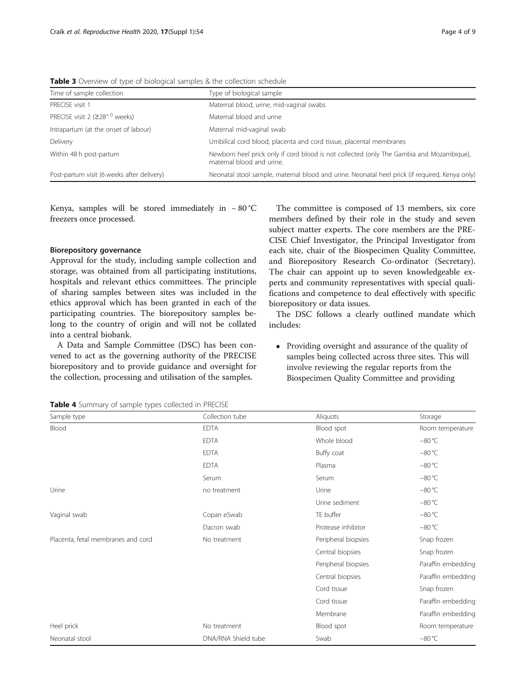<span id="page-3-0"></span>**Table 3** Overview of type of biological samples & the collection schedule

| Time of sample collection                        | Type of biological sample                                                                                             |
|--------------------------------------------------|-----------------------------------------------------------------------------------------------------------------------|
| PRFCISF visit 1                                  | Maternal blood, urine, mid-vaginal swabs                                                                              |
| PRECISE visit 2 ( $\geq$ 28 <sup>+0</sup> weeks) | Maternal blood and urine                                                                                              |
| Intrapartum (at the onset of labour)             | Maternal mid-vaginal swab                                                                                             |
| Delivery                                         | Umbilical cord blood, placenta and cord tissue, placental membranes                                                   |
| Within 48 h post-partum                          | Newborn heel prick only if cord blood is not collected (only The Gambia and Mozambique),<br>maternal blood and urine. |
| Post-partum visit (6 weeks after delivery)       | Neonatal stool sample, maternal blood and urine. Neonatal heel prick (if required, Kenya only)                        |

Kenya, samples will be stored immediately in − 80 °C freezers once processed.

# Biorepository governance

Approval for the study, including sample collection and storage, was obtained from all participating institutions, hospitals and relevant ethics committees. The principle of sharing samples between sites was included in the ethics approval which has been granted in each of the participating countries. The biorepository samples belong to the country of origin and will not be collated into a central biobank.

A Data and Sample Committee (DSC) has been convened to act as the governing authority of the PRECISE biorepository and to provide guidance and oversight for the collection, processing and utilisation of the samples.

The committee is composed of 13 members, six core members defined by their role in the study and seven subject matter experts. The core members are the PRE-CISE Chief Investigator, the Principal Investigator from each site, chair of the Biospecimen Quality Committee, and Biorepository Research Co-ordinator (Secretary). The chair can appoint up to seven knowledgeable experts and community representatives with special qualifications and competence to deal effectively with specific biorepository or data issues.

The DSC follows a clearly outlined mandate which includes:

• Providing oversight and assurance of the quality of samples being collected across three sites. This will involve reviewing the regular reports from the Biospecimen Quality Committee and providing

| Sample type                        | Collection tube     | Aliquots            | Storage            |
|------------------------------------|---------------------|---------------------|--------------------|
| Blood                              | <b>EDTA</b>         | Blood spot          | Room temperature   |
|                                    | <b>EDTA</b>         | Whole blood         | $-80 °C$           |
|                                    | <b>EDTA</b>         | Buffy coat          | $-80 °C$           |
|                                    | <b>EDTA</b>         | Plasma              | $-80 °C$           |
|                                    | Serum               | Serum               | $-80 °C$           |
| Urine                              | no treatment        | Urine               | $-80 °C$           |
|                                    |                     | Urine sediment      | $-80 °C$           |
| Vaginal swab                       | Copan eSwab         | TE buffer           | $-80 °C$           |
|                                    | Dacron swab         | Protease inhibitor  | $-80 °C$           |
| Placenta, fetal membranes and cord | No treatment        | Peripheral biopsies | Snap frozen        |
|                                    |                     | Central biopsies    | Snap frozen        |
|                                    |                     | Peripheral biopsies | Paraffin embedding |
|                                    |                     | Central biopsies    | Paraffin embedding |
|                                    |                     | Cord tissue         | Snap frozen        |
|                                    |                     | Cord tissue         | Paraffin embedding |
|                                    |                     | Membrane            | Paraffin embedding |
| Heel prick                         | No treatment        | Blood spot          | Room temperature   |
| Neonatal stool                     | DNA/RNA Shield tube | Swab                | $-80 °C$           |

Table 4 Summary of sample types collected in PRECISE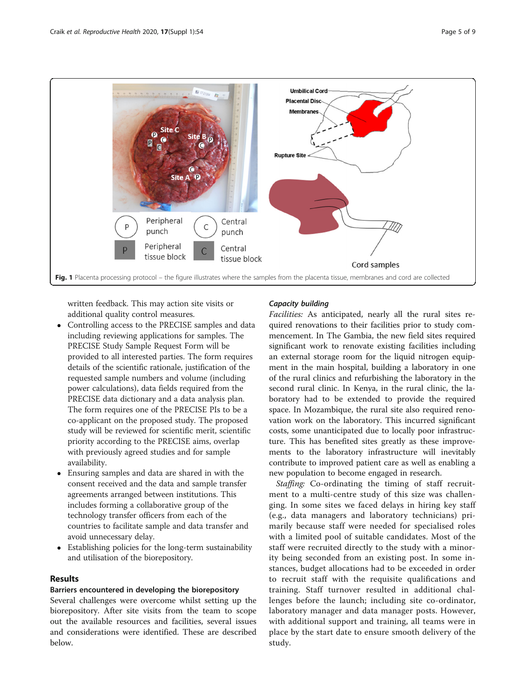<span id="page-4-0"></span>

written feedback. This may action site visits or additional quality control measures.

- Controlling access to the PRECISE samples and data including reviewing applications for samples. The PRECISE Study Sample Request Form will be provided to all interested parties. The form requires details of the scientific rationale, justification of the requested sample numbers and volume (including power calculations), data fields required from the PRECISE data dictionary and a data analysis plan. The form requires one of the PRECISE PIs to be a co-applicant on the proposed study. The proposed study will be reviewed for scientific merit, scientific priority according to the PRECISE aims, overlap with previously agreed studies and for sample availability.
- Ensuring samples and data are shared in with the consent received and the data and sample transfer agreements arranged between institutions. This includes forming a collaborative group of the technology transfer officers from each of the countries to facilitate sample and data transfer and avoid unnecessary delay.
- Establishing policies for the long-term sustainability and utilisation of the biorepository.

# Results

# Barriers encountered in developing the biorepository

Several challenges were overcome whilst setting up the biorepository. After site visits from the team to scope out the available resources and facilities, several issues and considerations were identified. These are described below.

# Capacity building

Facilities: As anticipated, nearly all the rural sites required renovations to their facilities prior to study commencement. In The Gambia, the new field sites required significant work to renovate existing facilities including an external storage room for the liquid nitrogen equipment in the main hospital, building a laboratory in one of the rural clinics and refurbishing the laboratory in the second rural clinic. In Kenya, in the rural clinic, the laboratory had to be extended to provide the required space. In Mozambique, the rural site also required renovation work on the laboratory. This incurred significant costs, some unanticipated due to locally poor infrastructure. This has benefited sites greatly as these improvements to the laboratory infrastructure will inevitably contribute to improved patient care as well as enabling a new population to become engaged in research.

Staffing: Co-ordinating the timing of staff recruitment to a multi-centre study of this size was challenging. In some sites we faced delays in hiring key staff (e.g., data managers and laboratory technicians) primarily because staff were needed for specialised roles with a limited pool of suitable candidates. Most of the staff were recruited directly to the study with a minority being seconded from an existing post. In some instances, budget allocations had to be exceeded in order to recruit staff with the requisite qualifications and training. Staff turnover resulted in additional challenges before the launch; including site co-ordinator, laboratory manager and data manager posts. However, with additional support and training, all teams were in place by the start date to ensure smooth delivery of the study.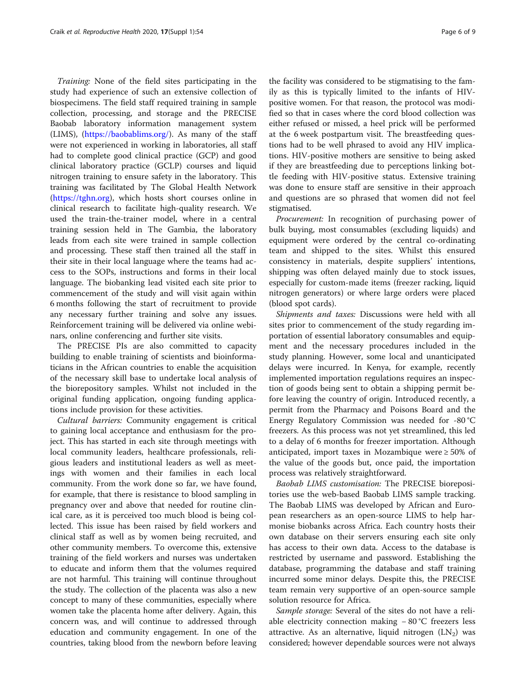Training: None of the field sites participating in the study had experience of such an extensive collection of biospecimens. The field staff required training in sample collection, processing, and storage and the PRECISE Baobab laboratory information management system (LIMS), (<https://baobablims.org/>). As many of the staff were not experienced in working in laboratories, all staff had to complete good clinical practice (GCP) and good clinical laboratory practice (GCLP) courses and liquid nitrogen training to ensure safety in the laboratory. This training was facilitated by The Global Health Network (<https://tghn.org>), which hosts short courses online in clinical research to facilitate high-quality research. We used the train-the-trainer model, where in a central training session held in The Gambia, the laboratory leads from each site were trained in sample collection and processing. These staff then trained all the staff in their site in their local language where the teams had access to the SOPs, instructions and forms in their local language. The biobanking lead visited each site prior to commencement of the study and will visit again within 6 months following the start of recruitment to provide any necessary further training and solve any issues. Reinforcement training will be delivered via online webinars, online conferencing and further site visits.

The PRECISE PIs are also committed to capacity building to enable training of scientists and bioinformaticians in the African countries to enable the acquisition of the necessary skill base to undertake local analysis of the biorepository samples. Whilst not included in the original funding application, ongoing funding applications include provision for these activities.

Cultural barriers: Community engagement is critical to gaining local acceptance and enthusiasm for the project. This has started in each site through meetings with local community leaders, healthcare professionals, religious leaders and institutional leaders as well as meetings with women and their families in each local community. From the work done so far, we have found, for example, that there is resistance to blood sampling in pregnancy over and above that needed for routine clinical care, as it is perceived too much blood is being collected. This issue has been raised by field workers and clinical staff as well as by women being recruited, and other community members. To overcome this, extensive training of the field workers and nurses was undertaken to educate and inform them that the volumes required are not harmful. This training will continue throughout the study. The collection of the placenta was also a new concept to many of these communities, especially where women take the placenta home after delivery. Again, this concern was, and will continue to addressed through education and community engagement. In one of the countries, taking blood from the newborn before leaving

the facility was considered to be stigmatising to the family as this is typically limited to the infants of HIVpositive women. For that reason, the protocol was modified so that in cases where the cord blood collection was either refused or missed, a heel prick will be performed at the 6 week postpartum visit. The breastfeeding questions had to be well phrased to avoid any HIV implications. HIV-positive mothers are sensitive to being asked if they are breastfeeding due to perceptions linking bottle feeding with HIV-positive status. Extensive training was done to ensure staff are sensitive in their approach and questions are so phrased that women did not feel stigmatised.

Procurement: In recognition of purchasing power of bulk buying, most consumables (excluding liquids) and equipment were ordered by the central co-ordinating team and shipped to the sites. Whilst this ensured consistency in materials, despite suppliers' intentions, shipping was often delayed mainly due to stock issues, especially for custom-made items (freezer racking, liquid nitrogen generators) or where large orders were placed (blood spot cards).

Shipments and taxes: Discussions were held with all sites prior to commencement of the study regarding importation of essential laboratory consumables and equipment and the necessary procedures included in the study planning. However, some local and unanticipated delays were incurred. In Kenya, for example, recently implemented importation regulations requires an inspection of goods being sent to obtain a shipping permit before leaving the country of origin. Introduced recently, a permit from the Pharmacy and Poisons Board and the Energy Regulatory Commission was needed for -80 °C freezers. As this process was not yet streamlined, this led to a delay of 6 months for freezer importation. Although anticipated, import taxes in Mozambique were ≥ 50% of the value of the goods but, once paid, the importation process was relatively straightforward.

Baobab LIMS customisation: The PRECISE biorepositories use the web-based Baobab LIMS sample tracking. The Baobab LIMS was developed by African and European researchers as an open-source LIMS to help harmonise biobanks across Africa. Each country hosts their own database on their servers ensuring each site only has access to their own data. Access to the database is restricted by username and password. Establishing the database, programming the database and staff training incurred some minor delays. Despite this, the PRECISE team remain very supportive of an open-source sample solution resource for Africa.

Sample storage: Several of the sites do not have a reliable electricity connection making − 80 °C freezers less attractive. As an alternative, liquid nitrogen  $(LN_2)$  was considered; however dependable sources were not always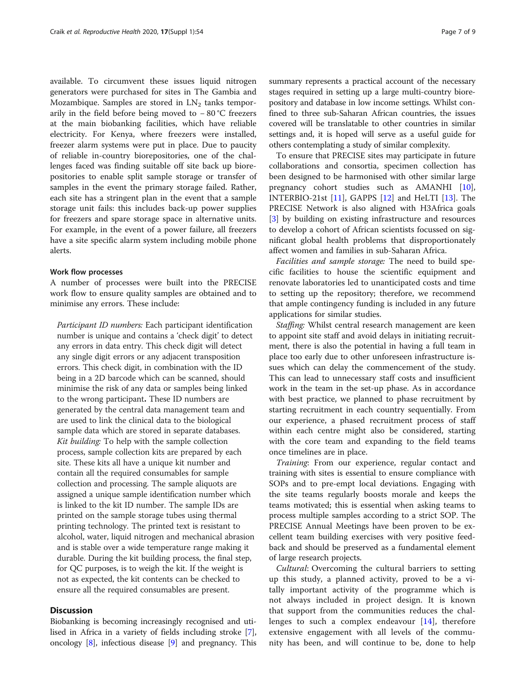available. To circumvent these issues liquid nitrogen generators were purchased for sites in The Gambia and Mozambique. Samples are stored in  $LN<sub>2</sub>$  tanks temporarily in the field before being moved to − 80 °C freezers at the main biobanking facilities, which have reliable electricity. For Kenya, where freezers were installed, freezer alarm systems were put in place. Due to paucity of reliable in-country biorepositories, one of the challenges faced was finding suitable off site back up biorepositories to enable split sample storage or transfer of samples in the event the primary storage failed. Rather, each site has a stringent plan in the event that a sample storage unit fails: this includes back-up power supplies for freezers and spare storage space in alternative units. For example, in the event of a power failure, all freezers have a site specific alarm system including mobile phone alerts.

#### Work flow processes

A number of processes were built into the PRECISE work flow to ensure quality samples are obtained and to minimise any errors. These include:

Participant ID numbers: Each participant identification number is unique and contains a 'check digit' to detect any errors in data entry. This check digit will detect any single digit errors or any adjacent transposition errors. This check digit, in combination with the ID being in a 2D barcode which can be scanned, should minimise the risk of any data or samples being linked to the wrong participant. These ID numbers are generated by the central data management team and are used to link the clinical data to the biological sample data which are stored in separate databases. Kit building: To help with the sample collection process, sample collection kits are prepared by each site. These kits all have a unique kit number and contain all the required consumables for sample collection and processing. The sample aliquots are assigned a unique sample identification number which is linked to the kit ID number. The sample IDs are printed on the sample storage tubes using thermal printing technology. The printed text is resistant to alcohol, water, liquid nitrogen and mechanical abrasion and is stable over a wide temperature range making it durable. During the kit building process, the final step, for QC purposes, is to weigh the kit. If the weight is not as expected, the kit contents can be checked to ensure all the required consumables are present.

# **Discussion**

Biobanking is becoming increasingly recognised and utilised in Africa in a variety of fields including stroke [[7](#page-8-0)], oncology [\[8](#page-8-0)], infectious disease [\[9](#page-8-0)] and pregnancy. This summary represents a practical account of the necessary stages required in setting up a large multi-country biorepository and database in low income settings. Whilst confined to three sub-Saharan African countries, the issues covered will be translatable to other countries in similar settings and, it is hoped will serve as a useful guide for others contemplating a study of similar complexity.

To ensure that PRECISE sites may participate in future collaborations and consortia, specimen collection has been designed to be harmonised with other similar large pregnancy cohort studies such as AMANHI [\[10](#page-8-0)], INTERBIO-21st  $[11]$  $[11]$  $[11]$ , GAPPS  $[12]$  $[12]$  and HeLTI  $[13]$  $[13]$ . The PRECISE Network is also aligned with H3Africa goals [[3\]](#page-8-0) by building on existing infrastructure and resources to develop a cohort of African scientists focussed on significant global health problems that disproportionately affect women and families in sub-Saharan Africa.

Facilities and sample storage: The need to build specific facilities to house the scientific equipment and renovate laboratories led to unanticipated costs and time to setting up the repository; therefore, we recommend that ample contingency funding is included in any future applications for similar studies.

Staffing: Whilst central research management are keen to appoint site staff and avoid delays in initiating recruitment, there is also the potential in having a full team in place too early due to other unforeseen infrastructure issues which can delay the commencement of the study. This can lead to unnecessary staff costs and insufficient work in the team in the set-up phase. As in accordance with best practice, we planned to phase recruitment by starting recruitment in each country sequentially. From our experience, a phased recruitment process of staff within each centre might also be considered, starting with the core team and expanding to the field teams once timelines are in place.

Training: From our experience, regular contact and training with sites is essential to ensure compliance with SOPs and to pre-empt local deviations. Engaging with the site teams regularly boosts morale and keeps the teams motivated; this is essential when asking teams to process multiple samples according to a strict SOP. The PRECISE Annual Meetings have been proven to be excellent team building exercises with very positive feedback and should be preserved as a fundamental element of large research projects.

Cultural: Overcoming the cultural barriers to setting up this study, a planned activity, proved to be a vitally important activity of the programme which is not always included in project design. It is known that support from the communities reduces the challenges to such a complex endeavour [[14](#page-8-0)], therefore extensive engagement with all levels of the community has been, and will continue to be, done to help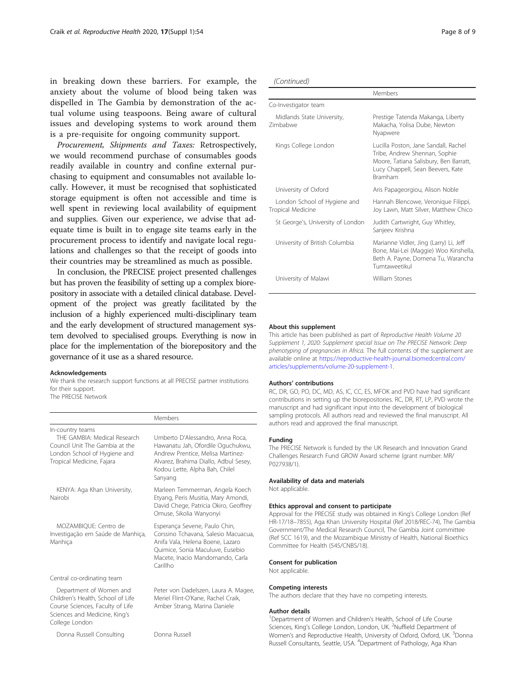in breaking down these barriers. For example, the anxiety about the volume of blood being taken was dispelled in The Gambia by demonstration of the actual volume using teaspoons. Being aware of cultural issues and developing systems to work around them is a pre-requisite for ongoing community support.

Procurement, Shipments and Taxes: Retrospectively, we would recommend purchase of consumables goods readily available in country and confine external purchasing to equipment and consumables not available locally. However, it must be recognised that sophisticated storage equipment is often not accessible and time is well spent in reviewing local availability of equipment and supplies. Given our experience, we advise that adequate time is built in to engage site teams early in the procurement process to identify and navigate local regulations and challenges so that the receipt of goods into their countries may be streamlined as much as possible.

In conclusion, the PRECISE project presented challenges but has proven the feasibility of setting up a complex biorepository in associate with a detailed clinical database. Development of the project was greatly facilitated by the inclusion of a highly experienced multi-disciplinary team and the early development of structured management system devolved to specialised groups. Everything is now in place for the implementation of the biorepository and the governance of it use as a shared resource.

#### Acknowledgements

We thank the research support functions at all PRECISE partner institutions for their support. The PRECISE Network

|                                                                                                                                                     | Members                                                                                                                                                                                          |
|-----------------------------------------------------------------------------------------------------------------------------------------------------|--------------------------------------------------------------------------------------------------------------------------------------------------------------------------------------------------|
| In-country teams<br>THE GAMBIA: Medical Research<br>Council Unit The Gambia at the<br>London School of Hygiene and<br>Tropical Medicine, Fajara     | Umberto D'Alessandro, Anna Roca,<br>Hawanatu Jah, Ofordile Oquchukwu,<br>Andrew Prentice, Melisa Martinez-<br>Alvarez, Brahima Diallo, Adbul Sesey,<br>Kodou Lette, Alpha Bah, Chilel<br>Sanyang |
| KENYA: Aga Khan University,<br>Nairobi                                                                                                              | Marleen Temmerman, Angela Koech<br>Etyang, Peris Musitia, Mary Amondi,<br>David Chege, Patricia Okiro, Geoffrey<br>Omuse, Sikolia Wanyonyi                                                       |
| MOZAMBIOUE: Centro de<br>Investigação em Saúde de Manhica,<br>Manhica                                                                               | Esperança Sevene, Paulo Chin,<br>Corssino Tchavana, Salesio Macuacua,<br>Anifa Vala, Helena Boene, Lazaro<br>Quimice, Sonia Maculuve, Eusebio<br>Macete, Inacio Mandomando, Carla<br>Carillho    |
| Central co-ordinating team                                                                                                                          |                                                                                                                                                                                                  |
| Department of Women and<br>Children's Health, School of Life<br>Course Sciences, Faculty of Life<br>Sciences and Medicine, King's<br>College London | Peter von Dadelszen, Laura A. Magee,<br>Meriel Flint-O'Kane, Rachel Craik,<br>Amber Strang, Marina Daniele                                                                                       |
| Donna Russell Consulting                                                                                                                            | Donna Russell                                                                                                                                                                                    |

| Page 8 of 9 |  |  |  |
|-------------|--|--|--|
|-------------|--|--|--|

| (Continued) |  |
|-------------|--|
|-------------|--|

|                                                   | Members                                                                                                                                                                |
|---------------------------------------------------|------------------------------------------------------------------------------------------------------------------------------------------------------------------------|
| Co-Investigator team                              |                                                                                                                                                                        |
| Midlands State University,<br>Zimbabwe            | Prestige Tatenda Makanga, Liberty<br>Makacha, Yolisa Dube, Newton<br>Nyapwere                                                                                          |
| Kings College London                              | Lucilla Poston, Jane Sandall, Rachel<br>Tribe, Andrew Shennan, Sophie<br>Moore, Tatiana Salisbury, Ben Barratt,<br>Lucy Chappell, Sean Beevers, Kate<br><b>Bramham</b> |
| University of Oxford                              | Aris Papageorgiou, Alison Noble                                                                                                                                        |
| London School of Hygiene and<br>Tropical Medicine | Hannah Blencowe, Veronique Filippi,<br>Joy Lawn, Matt Silver, Matthew Chico                                                                                            |
| St George's, University of London                 | Judith Cartwright, Guy Whitley,<br>Sanjeev Krishna                                                                                                                     |
| University of British Columbia                    | Marianne Vidler, Jing (Larry) Li, Jeff<br>Bone, Mai-Lei (Maggie) Woo Kinshella,<br>Beth A. Payne, Domena Tu, Warancha<br>Tumtaweetikul                                 |
| University of Malawi                              | William Stones                                                                                                                                                         |
|                                                   |                                                                                                                                                                        |

#### About this supplement

This article has been published as part of Reproductive Health Volume 20 Supplement 1, 2020: Supplement special Issue on The PRECISE Network: Deep phenotyping of pregnancies in Africa. The full contents of the supplement are available online at [https://reproductive-health-journal.biomedcentral.com/](https://reproductive-health-journal.biomedcentral.com/articles/supplements/volume-20-supplement-1) [articles/supplements/volume-20-supplement-1.](https://reproductive-health-journal.biomedcentral.com/articles/supplements/volume-20-supplement-1)

#### Authors' contributions

RC, DR, GO, PO, DC, MD, AS, IC, CC, ES, MFOK and PVD have had significant contributions in setting up the biorepositories. RC, DR, RT, LP, PVD wrote the manuscript and had significant input into the development of biological sampling protocols. All authors read and reviewed the final manuscript. All authors read and approved the final manuscript.

#### Funding

The PRECISE Network is funded by the UK Research and Innovation Grand Challenges Research Fund GROW Award scheme (grant number: MR/ P027938/1).

#### Availability of data and materials

Not applicable.

#### Ethics approval and consent to participate

Approval for the PRECISE study was obtained in King's College London (Ref HR-17/18–7855), Aga Khan University Hospital (Ref 2018/REC-74), The Gambia Government/The Medical Research Council, The Gambia Joint committee (Ref SCC 1619), and the Mozambique Ministry of Health, National Bioethics Committee for Health (545/CNBS/18).

#### Consent for publication

Not applicable.

#### Competing interests

The authors declare that they have no competing interests.

#### Author details

<sup>1</sup>Department of Women and Children's Health, School of Life Course Sciences, King's College London, London, UK. <sup>2</sup>Nuffield Department of Women's and Reproductive Health, University of Oxford, Oxford, UK. <sup>3</sup>Donna Russell Consultants, Seattle, USA. <sup>4</sup>Department of Pathology, Aga Khan